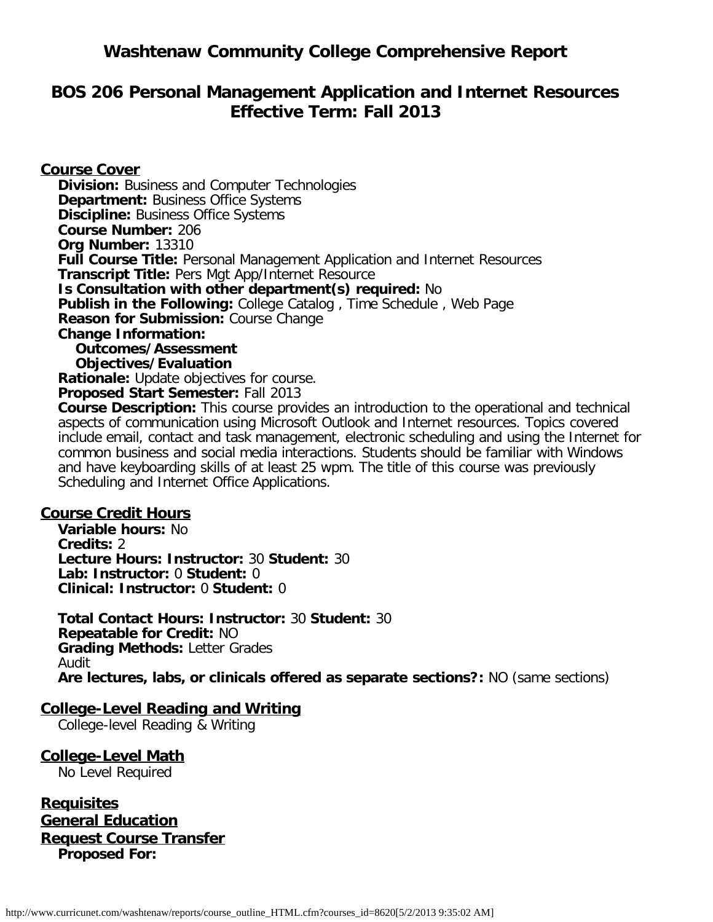# **Washtenaw Community College Comprehensive Report**

# **BOS 206 Personal Management Application and Internet Resources Effective Term: Fall 2013**

**Course Cover Division:** Business and Computer Technologies **Department: Business Office Systems Discipline: Business Office Systems Course Number:** 206 **Org Number:** 13310 **Full Course Title:** Personal Management Application and Internet Resources **Transcript Title:** Pers Mgt App/Internet Resource **Is Consultation with other department(s) required:** No **Publish in the Following:** College Catalog , Time Schedule , Web Page **Reason for Submission:** Course Change **Change Information: Outcomes/Assessment Objectives/Evaluation Rationale:** Update objectives for course. **Proposed Start Semester:** Fall 2013 **Course Description:** This course provides an introduction to the operational and technical aspects of communication using Microsoft Outlook and Internet resources. Topics covered

include email, contact and task management, electronic scheduling and using the Internet for common business and social media interactions. Students should be familiar with Windows and have keyboarding skills of at least 25 wpm. The title of this course was previously Scheduling and Internet Office Applications.

### **Course Credit Hours**

**Variable hours:** No **Credits:** 2 **Lecture Hours: Instructor:** 30 **Student:** 30 **Lab: Instructor:** 0 **Student:** 0 **Clinical: Instructor:** 0 **Student:** 0

**Total Contact Hours: Instructor:** 30 **Student:** 30 **Repeatable for Credit:** NO **Grading Methods:** Letter Grades Audit **Are lectures, labs, or clinicals offered as separate sections?:** NO (same sections)

### **College-Level Reading and Writing**

College-level Reading & Writing

**College-Level Math** No Level Required

**Requisites General Education Request Course Transfer Proposed For:**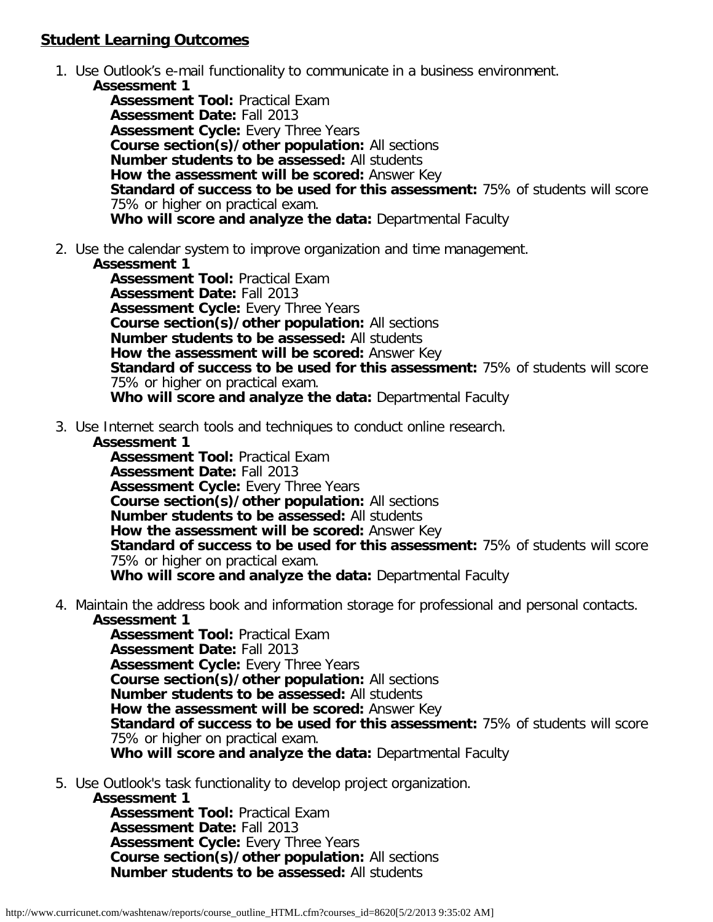# **Student Learning Outcomes**

- 1. Use Outlook's e-mail functionality to communicate in a business environment.
	- **Assessment 1 Assessment Tool:** Practical Exam **Assessment Date:** Fall 2013 **Assessment Cycle:** Every Three Years **Course section(s)/other population:** All sections **Number students to be assessed:** All students **How the assessment will be scored:** Answer Key **Standard of success to be used for this assessment:** 75% of students will score 75% or higher on practical exam. **Who will score and analyze the data:** Departmental Faculty
- 2. Use the calendar system to improve organization and time management.

#### **Assessment 1**

**Assessment Tool:** Practical Exam **Assessment Date:** Fall 2013 **Assessment Cycle:** Every Three Years **Course section(s)/other population:** All sections **Number students to be assessed:** All students **How the assessment will be scored:** Answer Key **Standard of success to be used for this assessment:** 75% of students will score 75% or higher on practical exam. **Who will score and analyze the data:** Departmental Faculty

3. Use Internet search tools and techniques to conduct online research.

#### **Assessment 1**

**Assessment Tool:** Practical Exam **Assessment Date:** Fall 2013 **Assessment Cycle:** Every Three Years **Course section(s)/other population:** All sections **Number students to be assessed:** All students **How the assessment will be scored:** Answer Key **Standard of success to be used for this assessment:** 75% of students will score 75% or higher on practical exam. **Who will score and analyze the data:** Departmental Faculty

4. Maintain the address book and information storage for professional and personal contacts. **Assessment 1**

**Assessment Tool:** Practical Exam **Assessment Date:** Fall 2013 **Assessment Cycle:** Every Three Years **Course section(s)/other population:** All sections **Number students to be assessed:** All students **How the assessment will be scored:** Answer Key **Standard of success to be used for this assessment:** 75% of students will score 75% or higher on practical exam. **Who will score and analyze the data:** Departmental Faculty

- 5. Use Outlook's task functionality to develop project organization.
	- **Assessment 1**

**Assessment Tool:** Practical Exam **Assessment Date:** Fall 2013 **Assessment Cycle:** Every Three Years **Course section(s)/other population:** All sections **Number students to be assessed:** All students